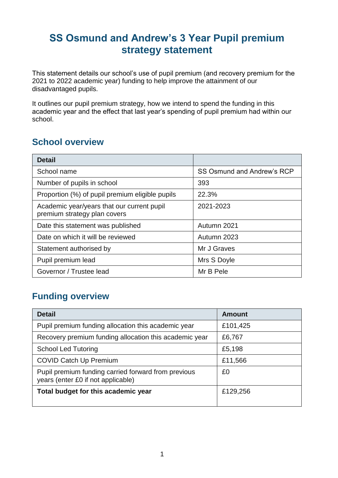# **SS Osmund and Andrew's 3 Year Pupil premium strategy statement**

This statement details our school's use of pupil premium (and recovery premium for the 2021 to 2022 academic year) funding to help improve the attainment of our disadvantaged pupils.

It outlines our pupil premium strategy, how we intend to spend the funding in this academic year and the effect that last year's spending of pupil premium had within our school.

#### **School overview**

| <b>Detail</b>                                                              |                            |
|----------------------------------------------------------------------------|----------------------------|
| School name                                                                | SS Osmund and Andrew's RCP |
| Number of pupils in school                                                 | 393                        |
| Proportion (%) of pupil premium eligible pupils                            | 22.3%                      |
| Academic year/years that our current pupil<br>premium strategy plan covers | 2021-2023                  |
| Date this statement was published                                          | Autumn 2021                |
| Date on which it will be reviewed                                          | Autumn 2023                |
| Statement authorised by                                                    | Mr J Graves                |
| Pupil premium lead                                                         | Mrs S Doyle                |
| Governor / Trustee lead                                                    | Mr B Pele                  |

#### **Funding overview**

| <b>Detail</b>                                                                             | Amount   |
|-------------------------------------------------------------------------------------------|----------|
| Pupil premium funding allocation this academic year                                       | £101,425 |
| Recovery premium funding allocation this academic year                                    | £6,767   |
| <b>School Led Tutoring</b>                                                                | £5,198   |
| <b>COVID Catch Up Premium</b>                                                             | £11,566  |
| Pupil premium funding carried forward from previous<br>years (enter £0 if not applicable) | £0       |
| Total budget for this academic year                                                       | £129,256 |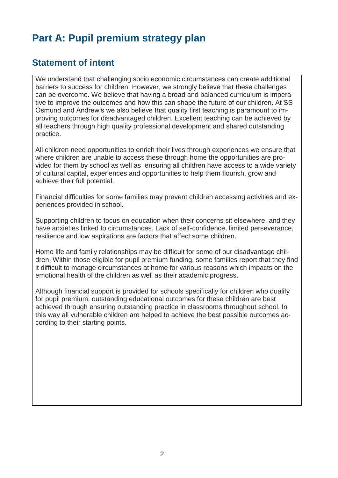# **Part A: Pupil premium strategy plan**

#### **Statement of intent**

We understand that challenging socio economic circumstances can create additional barriers to success for children. However, we strongly believe that these challenges can be overcome. We believe that having a broad and balanced curriculum is imperative to improve the outcomes and how this can shape the future of our children. At SS Osmund and Andrew's we also believe that quality first teaching is paramount to improving outcomes for disadvantaged children. Excellent teaching can be achieved by all teachers through high quality professional development and shared outstanding practice.

All children need opportunities to enrich their lives through experiences we ensure that where children are unable to access these through home the opportunities are provided for them by school as well as ensuring all children have access to a wide variety of cultural capital, experiences and opportunities to help them flourish, grow and achieve their full potential.

Financial difficulties for some families may prevent children accessing activities and experiences provided in school.

Supporting children to focus on education when their concerns sit elsewhere, and they have anxieties linked to circumstances. Lack of self-confidence, limited perseverance, resilience and low aspirations are factors that affect some children.

Home life and family relationships may be difficult for some of our disadvantage children. Within those eligible for pupil premium funding, some families report that they find it difficult to manage circumstances at home for various reasons which impacts on the emotional health of the children as well as their academic progress.

Although financial support is provided for schools specifically for children who qualify for pupil premium, outstanding educational outcomes for these children are best achieved through ensuring outstanding practice in classrooms throughout school. In this way all vulnerable children are helped to achieve the best possible outcomes according to their starting points.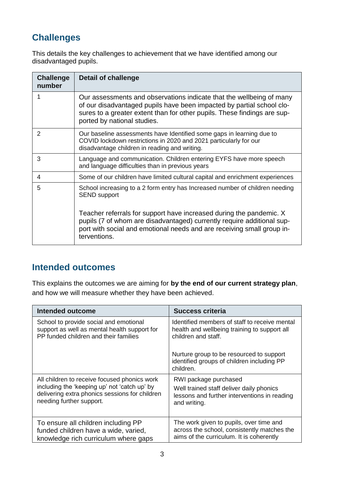# **Challenges**

This details the key challenges to achievement that we have identified among our disadvantaged pupils.

| <b>Challenge</b><br>number | <b>Detail of challenge</b>                                                                                                                                                                                                                               |
|----------------------------|----------------------------------------------------------------------------------------------------------------------------------------------------------------------------------------------------------------------------------------------------------|
| 1                          | Our assessments and observations indicate that the wellbeing of many<br>of our disadvantaged pupils have been impacted by partial school clo-<br>sures to a greater extent than for other pupils. These findings are sup-<br>ported by national studies. |
| 2                          | Our baseline assessments have Identified some gaps in learning due to<br>COVID lockdown restrictions in 2020 and 2021 particularly for our<br>disadvantage children in reading and writing.                                                              |
| 3                          | Language and communication. Children entering EYFS have more speech<br>and language difficulties than in previous years                                                                                                                                  |
| 4                          | Some of our children have limited cultural capital and enrichment experiences                                                                                                                                                                            |
| 5                          | School increasing to a 2 form entry has Increased number of children needing<br><b>SEND support</b><br>Teacher referrals for support have increased during the pandemic. X                                                                               |
|                            | pupils (7 of whom are disadvantaged) currently require additional sup-<br>port with social and emotional needs and are receiving small group in-<br>terventions.                                                                                         |

#### **Intended outcomes**

This explains the outcomes we are aiming for **by the end of our current strategy plan**, and how we will measure whether they have been achieved.

| Intended outcome                               | <b>Success criteria</b>                                                                             |
|------------------------------------------------|-----------------------------------------------------------------------------------------------------|
| School to provide social and emotional         | Identified members of staff to receive mental                                                       |
| support as well as mental health support for   | health and wellbeing training to support all                                                        |
| PP funded children and their families          | children and staff.                                                                                 |
|                                                | Nurture group to be resourced to support<br>identified groups of children including PP<br>children. |
| All children to receive focused phonics work   | RWI package purchased                                                                               |
| including the 'keeping up' not 'catch up' by   | Well trained staff deliver daily phonics                                                            |
| delivering extra phonics sessions for children | lessons and further interventions in reading                                                        |
| needing further support.                       | and writing.                                                                                        |
| To ensure all children including PP            | The work given to pupils, over time and                                                             |
| funded children have a wide, varied,           | across the school, consistently matches the                                                         |
| knowledge rich curriculum where gaps           | aims of the curriculum. It is coherently                                                            |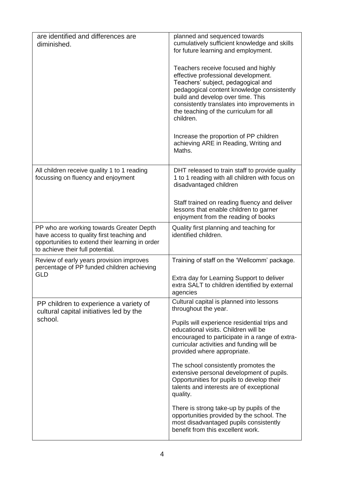| are identified and differences are<br>diminished.                                                                                                                            | planned and sequenced towards<br>cumulatively sufficient knowledge and skills<br>for future learning and employment.                                                                                                                                                                                       |
|------------------------------------------------------------------------------------------------------------------------------------------------------------------------------|------------------------------------------------------------------------------------------------------------------------------------------------------------------------------------------------------------------------------------------------------------------------------------------------------------|
|                                                                                                                                                                              | Teachers receive focused and highly<br>effective professional development.<br>Teachers' subject, pedagogical and<br>pedagogical content knowledge consistently<br>build and develop over time. This<br>consistently translates into improvements in<br>the teaching of the curriculum for all<br>children. |
|                                                                                                                                                                              | Increase the proportion of PP children<br>achieving ARE in Reading, Writing and<br>Maths.                                                                                                                                                                                                                  |
| All children receive quality 1 to 1 reading<br>focussing on fluency and enjoyment                                                                                            | DHT released to train staff to provide quality<br>1 to 1 reading with all children with focus on<br>disadvantaged children                                                                                                                                                                                 |
|                                                                                                                                                                              | Staff trained on reading fluency and deliver<br>lessons that enable children to garner<br>enjoyment from the reading of books                                                                                                                                                                              |
| PP who are working towards Greater Depth<br>have access to quality first teaching and<br>opportunities to extend their learning in order<br>to achieve their full potential. | Quality first planning and teaching for<br>identified children.                                                                                                                                                                                                                                            |
| Review of early years provision improves<br>percentage of PP funded children achieving<br><b>GLD</b>                                                                         | Training of staff on the 'Wellcomm' package.                                                                                                                                                                                                                                                               |
|                                                                                                                                                                              | Extra day for Learning Support to deliver<br>extra SALT to children identified by external<br>agencies                                                                                                                                                                                                     |
| PP children to experience a variety of<br>cultural capital initiatives led by the<br>school.                                                                                 | Cultural capital is planned into lessons<br>throughout the year.                                                                                                                                                                                                                                           |
|                                                                                                                                                                              | Pupils will experience residential trips and<br>educational visits. Children will be<br>encouraged to participate in a range of extra-<br>curricular activities and funding will be<br>provided where appropriate.                                                                                         |
|                                                                                                                                                                              | The school consistently promotes the<br>extensive personal development of pupils.<br>Opportunities for pupils to develop their<br>talents and interests are of exceptional<br>quality.                                                                                                                     |
|                                                                                                                                                                              | There is strong take-up by pupils of the<br>opportunities provided by the school. The<br>most disadvantaged pupils consistently<br>benefit from this excellent work.                                                                                                                                       |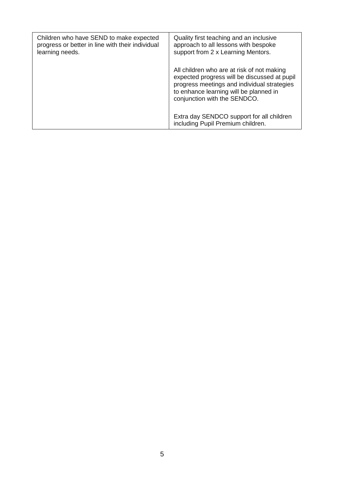| Children who have SEND to make expected<br>progress or better in line with their individual<br>learning needs. | Quality first teaching and an inclusive<br>approach to all lessons with bespoke<br>support from 2 x Learning Mentors.                                                                                               |
|----------------------------------------------------------------------------------------------------------------|---------------------------------------------------------------------------------------------------------------------------------------------------------------------------------------------------------------------|
|                                                                                                                | All children who are at risk of not making<br>expected progress will be discussed at pupil<br>progress meetings and individual strategies<br>to enhance learning will be planned in<br>conjunction with the SENDCO. |
|                                                                                                                | Extra day SENDCO support for all children<br>including Pupil Premium children.                                                                                                                                      |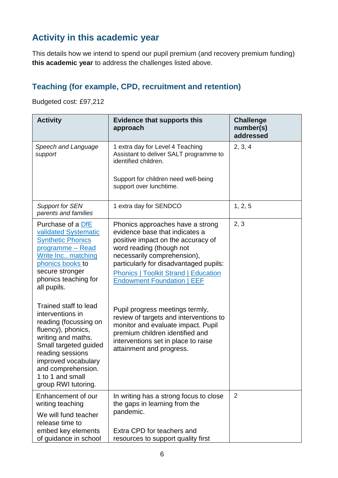## **Activity in this academic year**

This details how we intend to spend our pupil premium (and recovery premium funding) **this academic year** to address the challenges listed above.

### **Teaching (for example, CPD, recruitment and retention)**

Budgeted cost: £97,212

| <b>Activity</b>                                                                                                                                                                                                                                     | <b>Evidence that supports this</b><br>approach                                                                                                                                                                                                                                                    | <b>Challenge</b><br>number(s)<br>addressed |
|-----------------------------------------------------------------------------------------------------------------------------------------------------------------------------------------------------------------------------------------------------|---------------------------------------------------------------------------------------------------------------------------------------------------------------------------------------------------------------------------------------------------------------------------------------------------|--------------------------------------------|
| Speech and Language<br>support                                                                                                                                                                                                                      | 1 extra day for Level 4 Teaching<br>Assistant to deliver SALT programme to<br>identified children.<br>Support for children need well-being                                                                                                                                                        | 2, 3, 4                                    |
|                                                                                                                                                                                                                                                     | support over lunchtime.                                                                                                                                                                                                                                                                           |                                            |
| <b>Support for SEN</b><br>parents and families                                                                                                                                                                                                      | 1 extra day for SENDCO                                                                                                                                                                                                                                                                            | 1, 2, 5                                    |
| Purchase of a DfE<br>validated Systematic<br><b>Synthetic Phonics</b><br>programme - Read<br>Write Inc matching<br>phonics books to<br>secure stronger<br>phonics teaching for<br>all pupils.                                                       | Phonics approaches have a strong<br>evidence base that indicates a<br>positive impact on the accuracy of<br>word reading (though not<br>necessarily comprehension),<br>particularly for disadvantaged pupils:<br><b>Phonics   Toolkit Strand   Education</b><br><b>Endowment Foundation   EEF</b> | 2, 3                                       |
| Trained staff to lead<br>interventions in<br>reading (focussing on<br>fluency), phonics,<br>writing and maths.<br>Small targeted guided<br>reading sessions<br>improved vocabulary<br>and comprehension.<br>1 to 1 and small<br>group RWI tutoring. | Pupil progress meetings termly,<br>review of targets and interventions to<br>monitor and evaluate impact. Pupil<br>premium children identified and<br>interventions set in place to raise<br>attainment and progress.                                                                             |                                            |
| Enhancement of our<br>writing teaching<br>We will fund teacher<br>release time to<br>embed key elements                                                                                                                                             | In writing has a strong focus to close<br>the gaps in learning from the<br>pandemic.<br>Extra CPD for teachers and                                                                                                                                                                                | 2                                          |
| of guidance in school                                                                                                                                                                                                                               | resources to support quality first                                                                                                                                                                                                                                                                |                                            |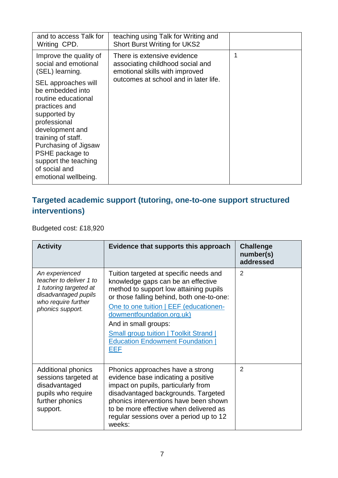| and to access Talk for<br>Writing CPD.                                                                                                                                                                                                                                                                                                    | teaching using Talk for Writing and<br><b>Short Burst Writing for UKS2</b>                                                                 |  |
|-------------------------------------------------------------------------------------------------------------------------------------------------------------------------------------------------------------------------------------------------------------------------------------------------------------------------------------------|--------------------------------------------------------------------------------------------------------------------------------------------|--|
| Improve the quality of<br>social and emotional<br>(SEL) learning.<br>SEL approaches will<br>be embedded into<br>routine educational<br>practices and<br>supported by<br>professional<br>development and<br>training of staff.<br>Purchasing of Jigsaw<br>PSHE package to<br>support the teaching<br>of social and<br>emotional wellbeing. | There is extensive evidence<br>associating childhood social and<br>emotional skills with improved<br>outcomes at school and in later life. |  |

### **Targeted academic support (tutoring, one-to-one support structured interventions)**

Budgeted cost: £18,920

| <b>Activity</b>                                                                                                                        | Evidence that supports this approach                                                                                                                                                                                                                                                                                                                                | <b>Challenge</b><br>number(s)<br>addressed |
|----------------------------------------------------------------------------------------------------------------------------------------|---------------------------------------------------------------------------------------------------------------------------------------------------------------------------------------------------------------------------------------------------------------------------------------------------------------------------------------------------------------------|--------------------------------------------|
| An experienced<br>teacher to deliver 1 to<br>1 tutoring targeted at<br>disadvantaged pupils<br>who require further<br>phonics support. | Tuition targeted at specific needs and<br>knowledge gaps can be an effective<br>method to support low attaining pupils<br>or those falling behind, both one-to-one:<br>One to one tuition   EEF (educationen-<br>dowmentfoundation.org.uk)<br>And in small groups:<br><b>Small group tuition   Toolkit Strand  </b><br><b>Education Endowment Foundation</b><br>EEF | 2                                          |
| <b>Additional phonics</b><br>sessions targeted at<br>disadvantaged<br>pupils who require<br>further phonics<br>support.                | Phonics approaches have a strong<br>evidence base indicating a positive<br>impact on pupils, particularly from<br>disadvantaged backgrounds. Targeted<br>phonics interventions have been shown<br>to be more effective when delivered as<br>regular sessions over a period up to 12<br>weeks:                                                                       | 2                                          |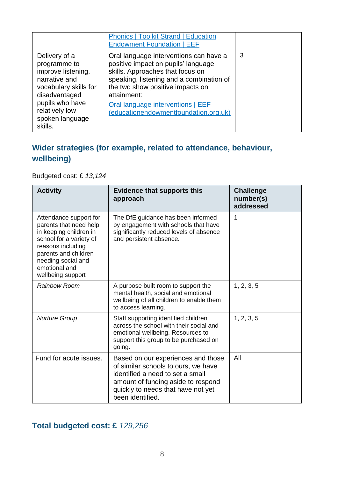|                                                                                                                                                                                   | <b>Phonics   Toolkit Strand   Education</b><br><b>Endowment Foundation   EEF</b>                                                                                                                                                                                                               |   |
|-----------------------------------------------------------------------------------------------------------------------------------------------------------------------------------|------------------------------------------------------------------------------------------------------------------------------------------------------------------------------------------------------------------------------------------------------------------------------------------------|---|
| Delivery of a<br>programme to<br>improve listening,<br>narrative and<br>vocabulary skills for<br>disadvantaged<br>pupils who have<br>relatively low<br>spoken language<br>skills. | Oral language interventions can have a<br>positive impact on pupils' language<br>skills. Approaches that focus on<br>speaking, listening and a combination of<br>the two show positive impacts on<br>attainment:<br>Oral language interventions   EEF<br>(educationendowmentfoundation.org.uk) | 3 |

#### **Wider strategies (for example, related to attendance, behaviour, wellbeing)**

Budgeted cost: £ *13,124* 

| <b>Activity</b>                                                                                                                                                                                                | <b>Evidence that supports this</b><br>approach                                                                                                                                                                | <b>Challenge</b><br>number(s)<br>addressed |
|----------------------------------------------------------------------------------------------------------------------------------------------------------------------------------------------------------------|---------------------------------------------------------------------------------------------------------------------------------------------------------------------------------------------------------------|--------------------------------------------|
| Attendance support for<br>parents that need help<br>in keeping children in<br>school for a variety of<br>reasons including<br>parents and children<br>needing social and<br>emotional and<br>wellbeing support | The DfE guidance has been informed<br>by engagement with schools that have<br>significantly reduced levels of absence<br>and persistent absence.                                                              | 1                                          |
| <b>Rainbow Room</b>                                                                                                                                                                                            | A purpose built room to support the<br>mental health, social and emotional<br>wellbeing of all children to enable them<br>to access learning.                                                                 | 1, 2, 3, 5                                 |
| <b>Nurture Group</b>                                                                                                                                                                                           | Staff supporting identified children<br>across the school with their social and<br>emotional wellbeing. Resources to<br>support this group to be purchased on<br>going.                                       | 1, 2, 3, 5                                 |
| Fund for acute issues.                                                                                                                                                                                         | Based on our experiences and those<br>of similar schools to ours, we have<br>identified a need to set a small<br>amount of funding aside to respond<br>quickly to needs that have not yet<br>been identified. | All                                        |

#### **Total budgeted cost: £** *129,256*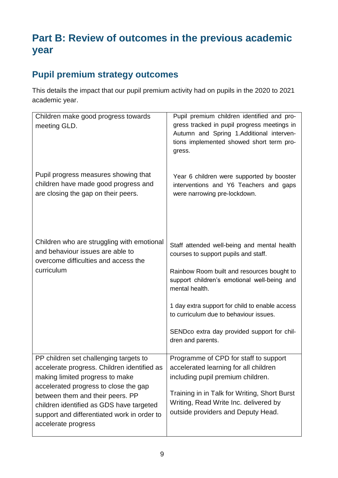# **Part B: Review of outcomes in the previous academic year**

# **Pupil premium strategy outcomes**

This details the impact that our pupil premium activity had on pupils in the 2020 to 2021 academic year.

| Children make good progress towards<br>meeting GLD.                                                                                                                                                                                                                                                                     | Pupil premium children identified and pro-<br>gress tracked in pupil progress meetings in<br>Autumn and Spring 1.Additional interven-<br>tions implemented showed short term pro-<br>gress.                                                                                                                                                                        |
|-------------------------------------------------------------------------------------------------------------------------------------------------------------------------------------------------------------------------------------------------------------------------------------------------------------------------|--------------------------------------------------------------------------------------------------------------------------------------------------------------------------------------------------------------------------------------------------------------------------------------------------------------------------------------------------------------------|
| Pupil progress measures showing that<br>children have made good progress and<br>are closing the gap on their peers.                                                                                                                                                                                                     | Year 6 children were supported by booster<br>interventions and Y6 Teachers and gaps<br>were narrowing pre-lockdown.                                                                                                                                                                                                                                                |
| Children who are struggling with emotional<br>and behaviour issues are able to<br>overcome difficulties and access the<br>curriculum                                                                                                                                                                                    | Staff attended well-being and mental health<br>courses to support pupils and staff.<br>Rainbow Room built and resources bought to<br>support children's emotional well-being and<br>mental health.<br>1 day extra support for child to enable access<br>to curriculum due to behaviour issues.<br>SENDco extra day provided support for chil-<br>dren and parents. |
| PP children set challenging targets to<br>accelerate progress. Children identified as<br>making limited progress to make<br>accelerated progress to close the gap<br>between them and their peers. PP<br>children identified as GDS have targeted<br>support and differentiated work in order to<br>accelerate progress | Programme of CPD for staff to support<br>accelerated learning for all children<br>including pupil premium children.<br>Training in in Talk for Writing, Short Burst<br>Writing, Read Write Inc. delivered by<br>outside providers and Deputy Head.                                                                                                                 |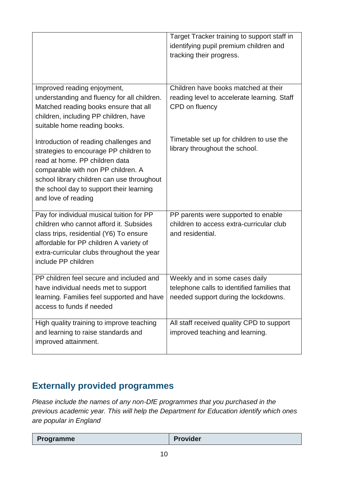|                                                                                                                                                                                                                                                                           | Target Tracker training to support staff in<br>identifying pupil premium children and<br>tracking their progress.     |
|---------------------------------------------------------------------------------------------------------------------------------------------------------------------------------------------------------------------------------------------------------------------------|-----------------------------------------------------------------------------------------------------------------------|
| Improved reading enjoyment,<br>understanding and fluency for all children.<br>Matched reading books ensure that all<br>children, including PP children, have<br>suitable home reading books.                                                                              | Children have books matched at their<br>reading level to accelerate learning. Staff<br>CPD on fluency                 |
| Introduction of reading challenges and<br>strategies to encourage PP children to<br>read at home. PP children data<br>comparable with non PP children. A<br>school library children can use throughout<br>the school day to support their learning<br>and love of reading | Timetable set up for children to use the<br>library throughout the school.                                            |
| Pay for individual musical tuition for PP<br>children who cannot afford it. Subsides<br>class trips, residential (Y6) To ensure<br>affordable for PP children A variety of<br>extra-curricular clubs throughout the year<br>include PP children                           | PP parents were supported to enable<br>children to access extra-curricular club<br>and residential.                   |
| PP children feel secure and included and<br>have individual needs met to support<br>learning. Families feel supported and have<br>access to funds if needed                                                                                                               | Weekly and in some cases daily<br>telephone calls to identified families that<br>needed support during the lockdowns. |
| High quality training to improve teaching<br>and learning to raise standards and<br>improved attainment.                                                                                                                                                                  | All staff received quality CPD to support<br>improved teaching and learning.                                          |

## **Externally provided programmes**

*Please include the names of any non-DfE programmes that you purchased in the previous academic year. This will help the Department for Education identify which ones are popular in England*

|--|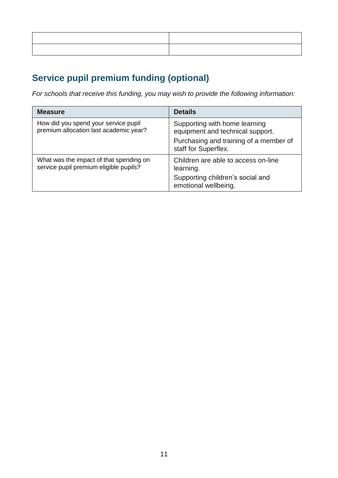# **Service pupil premium funding (optional)**

*For schools that receive this funding, you may wish to provide the following information:* 

| <b>Measure</b>                                                                    | <b>Details</b>                                                    |
|-----------------------------------------------------------------------------------|-------------------------------------------------------------------|
| How did you spend your service pupil<br>premium allocation last academic year?    | Supporting with home learning<br>equipment and technical support. |
|                                                                                   | Purchasing and training of a member of<br>staff for Superflex.    |
| What was the impact of that spending on<br>service pupil premium eligible pupils? | Children are able to access on-line<br>learning.                  |
|                                                                                   | Supporting children's social and<br>emotional wellbeing.          |